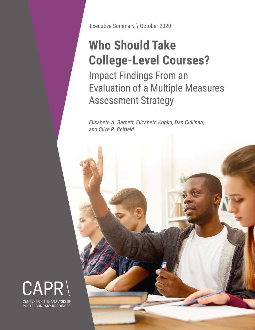Executive Summary \ October 2020

# **Who Should Take College-Level Courses?** Impact Findings From an Evaluation of a Multiple Measures Assessment Strategy

*Elisabeth A. Barnett, Elizabeth Kopko, Dan Cullinan, and Clive R. Belfield*



CAPR CENTER FOR THE ANALYSIS OF POSTSECONDARY READINESS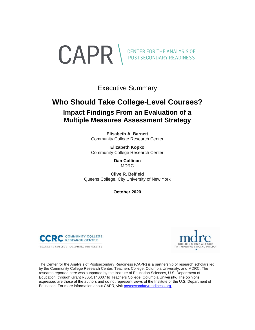

Executive Summary

## **Who Should Take College-Level Courses? Impact Findings From an Evaluation of a Multiple Measures Assessment Strategy**

**Elisabeth A. Barnett** Community College Research Center

**Elizabeth Kopko** Community College Research Center

> **Dan Cullinan** MDRC

**Clive R. Belfield** Queens College, City University of New York

**October 2020**



TEACHERS COLLEGE, COLUMBIA UNIVERSITY



The Center for the Analysis of Postsecondary Readiness (CAPR) is a partnership of research scholars led by the Community College Research Center, Teachers College, Columbia University, and MDRC. The research reported here was supported by the Institute of Education Sciences, U.S. Department of Education, through Grant R305C140007 to Teachers College, Columbia University. The opinions expressed are those of the authors and do not represent views of the Institute or the U.S. Department of Education. For more information about CAPR, visi[t postsecondaryreadiness.org.](https://postsecondaryreadiness.org/)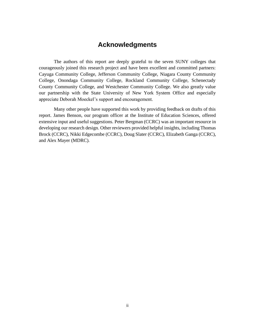## **Acknowledgments**

The authors of this report are deeply grateful to the seven SUNY colleges that courageously joined this research project and have been excellent and committed partners: Cayuga Community College, Jefferson Community College, Niagara County Community College, Onondaga Community College, Rockland Community College, Schenectady County Community College, and Westchester Community College. We also greatly value our partnership with the State University of New York System Office and especially appreciate Deborah Moeckel's support and encouragement.

Many other people have supported this work by providing feedback on drafts of this report. James Benson, our program officer at the Institute of Education Sciences, offered extensive input and useful suggestions. Peter Bergman (CCRC) was an important resource in developing our research design. Other reviewers provided helpful insights, including Thomas Brock (CCRC), Nikki Edgecombe (CCRC), Doug Slater (CCRC), Elizabeth Ganga (CCRC), and Alex Mayer (MDRC).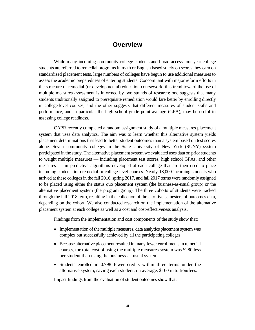## **Overview**

While many incoming community college students and broad-access four-year college students are referred to remedial programs in math or English based solely on scores they earn on standardized placement tests, large numbers of colleges have begun to use additional measures to assess the academic preparedness of entering students. Concomitant with major reform efforts in the structure of remedial (or developmental) education coursework, this trend toward the use of multiple measures assessment is informed by two strands of research: one suggests that many students traditionally assigned to prerequisite remediation would fare better by enrolling directly in college-level courses, and the other suggests that different measures of student skills and performance, and in particular the high school grade point average (GPA), may be useful in assessing college readiness.

CAPR recently completed a random assignment study of a multiple measures placement system that uses data analytics. The aim was to learn whether this alternative system yields placement determinations that lead to better student outcomes than a system based on test scores alone. Seven community colleges in the State University of New York (SUNY) system participated in the study. The alternative placement system we evaluated uses data on prior students to weight multiple measures — including placement test scores, high school GPAs, and other measures — in predictive algorithms developed at each college that are then used to place incoming students into remedial or college-level courses. Nearly 13,000 incoming students who arrived at these colleges in the fall 2016, spring 2017, and fall 2017 terms were randomly assigned to be placed using either the status quo placement system (the business-as-usual group) or the alternative placement system (the program group). The three cohorts of students were tracked through the fall 2018 term, resulting in the collection of three to five semesters of outcomes data, depending on the cohort. We also conducted research on the implementation of the alternative placement system at each college as well as a cost and cost-effectiveness analysis.

Findings from the implementation and cost components of the study show that:

- Implementation of the multiple measures, data analytics placement system was complex but successfully achieved by all the participating colleges.
- Because alternative placement resulted in many fewer enrollments in remedial courses, the total cost of using the multiple measures system was \$280 less per student than using the business-as-usual system.
- Students enrolled in 0.798 fewer credits within three terms under the alternative system, saving each student, on average, \$160 in tuition/fees.

Impact findings from the evaluation of student outcomes show that: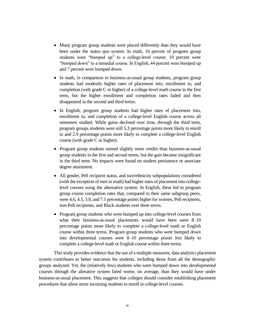- Many program group students were placed differently than they would have been under the status quo system. In math, 16 percent of program group students were "bumped up" to a college-level course; 10 percent were "bumped down" to a remedial course. In English, 44 percent were bumped up and 7 percent were bumped down.
- In math, in comparison to business-as-usual group students, program group students had modestly higher rates of placement into, enrollment in, and completion (with grade C or higher) of a college-level math course in the first term, but the higher enrollment and completion rates faded and then disappeared in the second and third terms.
- In English, program group students had higher rates of placement into, enrollment in, and completion of a college-level English course across all semesters studied. While gains declined over time, through the third term, program groups students were still 5.3 percentage points more likely to enroll in and 2.9 percentage points more likely to complete a college-level English course (with grade C or higher).
- Program group students earned slightly more credits than business-as-usual group students in the first and second terms, but the gain became insignificant in the third term. No impacts were found on student persistence or associate degree attainment.
- All gender, Pell recipient status, and race/ethnicity subpopulations considered (with the exception of men in math) had higher rates of placement into collegelevel courses using the alternative system. In English, these led to program group course completion rates that, compared to their same subgroup peers, were 4.6, 4.5, 3.0, and 7.1 percentage points higher for women, Pell recipients, non-Pell recipients, and Black students over three terms.
- Program group students who were bumped up into college-level courses from what their business-as-usual placements would have been were 8–10 percentage points more likely to complete a college-level math or English course within three terms. Program group students who were bumped down into developmental courses were 8–10 percentage points *less* likely to complete a college-level math or English course within three terms.

This study provides evidence that the use of a multiple measures, data analytics placement system contributes to better outcomes for students, including those from all the demographic groups analyzed. Yet, the (relatively few) students who were bumped down into developmental courses through the alterative system fared worse, on average, than they would have under business-as-usual placement. This suggests that colleges should consider establishing placement procedures that allow more incoming students to enroll in college-level courses.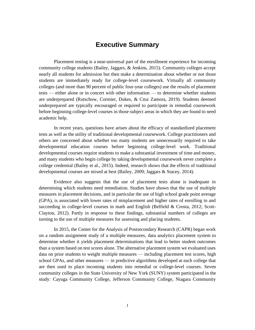## **Executive Summary**

Placement testing is a near-universal part of the enrollment experience for incoming community college students (Bailey, Jaggars, & Jenkins, 2015). Community colleges accept nearly all students for admission but then make a determination about whether or not those students are immediately ready for college-level coursework. Virtually all community colleges (and more than 90 percent of public four-year colleges) use the results of placement tests — either alone or in concert with other information — to determine whether students are underprepared (Rutschow, Cormier, Dukes, & Cruz Zamora, 2019). Students deemed underprepared are typically encouraged or required to participate in remedial coursework before beginning college-level courses in those subject areas in which they are found to need academic help.

In recent years, questions have arisen about the efficacy of standardized placement tests as well as the utility of traditional developmental coursework. College practitioners and others are concerned about whether too many students are unnecessarily required to take developmental education courses before beginning college-level work. Traditional developmental courses require students to make a substantial investment of time and money, and many students who begin college by taking developmental coursework never complete a college credential (Bailey et al., 2015). Indeed, research shows that the effects of traditional developmental courses are mixed at best (Bailey, 2009; Jaggars & Stacey, 2014).

Evidence also suggests that the use of placement tests alone is inadequate in determining which students need remediation. Studies have shown that the use of multiple measures in placement decisions, and in particular the use of high school grade point average (GPA), is associated with lower rates of misplacement and higher rates of enrolling in and succeeding in college-level courses in math and English (Belfield & Crosta, 2012; Scott-Clayton, 2012). Partly in response to these findings, substantial numbers of colleges are turning to the use of multiple measures for assessing and placing students.

In 2015, the Center for the Analysis of Postsecondary Research (CAPR) began work on a random assignment study of a multiple measures, data analytics placement system to determine whether it yields placement determinations that lead to better student outcomes than a system based on test scores alone. The alternative placement system we evaluated uses data on prior students to weight multiple measures — including placement test scores, high school GPAs, and other measures — in predictive algorithms developed at each college that are then used to place incoming students into remedial or college-level courses. Seven community colleges in the State University of New York (SUNY) system participated in the study: Cayuga Community College, Jefferson Community College, Niagara Community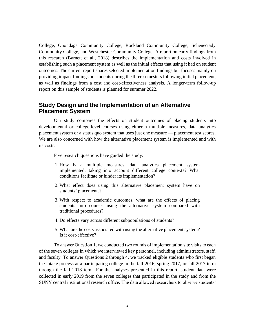College, Onondaga Community College, Rockland Community College, Schenectady Community College, and Westchester Community College. A report on early findings from this research (Barnett et al., 2018) describes the implementation and costs involved in establishing such a placement system as well as the initial effects that using it had on student outcomes. The current report shares selected implementation findings but focuses mainly on providing impact findings on students during the three semesters following initial placement, as well as findings from a cost and cost-effectiveness analysis. A longer-term follow-up report on this sample of students is planned for summer 2022.

## **Study Design and the Implementation of an Alternative Placement System**

Our study compares the effects on student outcomes of placing students into developmental or college-level courses using either a multiple measures, data analytics placement system or a status quo system that uses just one measure — placement test scores. We are also concerned with how the alternative placement system is implemented and with its costs.

Five research questions have guided the study:

- 1. How is a multiple measures, data analytics placement system implemented, taking into account different college contexts? What conditions facilitate or hinder its implementation?
- 2. What effect does using this alternative placement system have on students' placements?
- 3. With respect to academic outcomes, what are the effects of placing students into courses using the alternative system compared with traditional procedures?
- 4. Do effects vary across different subpopulations of students?
- 5. What are the costs associated with using the alternative placement system? Is it cost-effective?

To answer Question 1, we conducted two rounds of implementation site visits to each of the seven colleges in which we interviewed key personnel, including administrators, staff, and faculty. To answer Questions 2 through 4, we tracked eligible students who first began the intake process at a participating college in the fall 2016, spring 2017, or fall 2017 term through the fall 2018 term. For the analyses presented in this report, student data were collected in early 2019 from the seven colleges that participated in the study and from the SUNY central institutional research office. The data allowed researchers to observe students'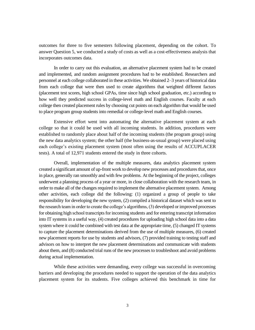outcomes for three to five semesters following placement, depending on the cohort. To answer Question 5, we conducted a study of costs as well as a cost-effectiveness analysis that incorporates outcomes data.

In order to carry out this evaluation, an alternative placement system had to be created and implemented, and random assignment procedures had to be established. Researchers and personnel at each college collaborated in these activities. We obtained 2–3 years of historical data from each college that were then used to create algorithms that weighted different factors (placement test scores, high school GPAs, time since high school graduation, etc.) according to how well they predicted success in college-level math and English courses. Faculty at each college then created placement rules by choosing cut points on each algorithm that would be used to place program group students into remedial or college-level math and English courses.

Extensive effort went into automating the alternative placement system at each college so that it could be used with all incoming students. In addition, procedures were established to randomly place about half of the incoming students (the program group) using the new data analytics system; the other half (the business-as-usual group) were placed using each college's existing placement system (most often using the results of ACCUPLACER tests). A total of 12,971 students entered the study in three cohorts.

Overall, implementation of the multiple measures, data analytics placement system created a significant amount of up-front work to develop new processes and procedures that, once in place, generally ran smoothly and with few problems. At the beginning of the project, colleges underwent a planning process of a year or more, in close collaboration with the research team, in order to make all of the changes required to implement the alternative placement system. Among other activities, each college did the following: (1) organized a group of people to take responsibility for developing the new system, (2) compiled a historical dataset which was sent to the research team in order to create the college's algorithms, (3) developed or improved processes for obtaining high school transcripts for incoming students and for entering transcript information into IT systems in a useful way, (4) created procedures for uploading high school data into a data system where it could be combined with test data at the appropriate time, (5) changed IT systems to capture the placement determinations derived from the use of multiple measures, (6) created new placement reports for use by students and advisors, (7) provided training to testing staff and advisors on how to interpret the new placement determinations and communicate with students about them, and (8) conducted trial runs of the new processes to troubleshoot and avoid problems during actual implementation.

While these activities were demanding, every college was successful in overcoming barriers and developing the procedures needed to support the operation of the data analytics placement system for its students. Five colleges achieved this benchmark in time for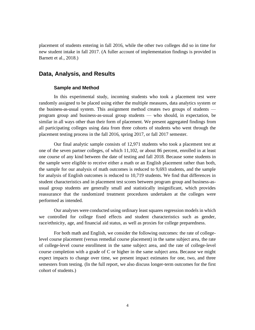placement of students entering in fall 2016, while the other two colleges did so in time for new student intake in fall 2017. (A fuller account of implementation findings is provided in Barnett et al., 2018.)

### **Data, Analysis, and Results**

#### **Sample and Method**

In this experimental study, incoming students who took a placement test were randomly assigned to be placed using either the multiple measures, data analytics system or the business-as-usual system. This assignment method creates two groups of students program group and business-as-usual group students — who should, in expectation, be similar in all ways other than their form of placement. We present aggregated findings from all participating colleges using data from three cohorts of students who went through the placement testing process in the fall 2016, spring 2017, or fall 2017 semester.

Our final analytic sample consists of 12,971 students who took a placement test at one of the seven partner colleges, of which 11,102, or about 86 percent, enrolled in at least one course of any kind between the date of testing and fall 2018. Because some students in the sample were eligible to receive either a math or an English placement rather than both, the sample for our analysis of math outcomes is reduced to 9,693 students, and the sample for analysis of English outcomes is reduced to 10,719 students. We find that differences in student characteristics and in placement test scores between program group and business-asusual group students are generally small and statistically insignificant, which provides reassurance that the randomized treatment procedures undertaken at the colleges were performed as intended.

Our analyses were conducted using ordinary least squares regression models in which we controlled for college fixed effects and student characteristics such as gender, race/ethnicity, age, and financial aid status, as well as proxies for college preparedness.

For both math and English, we consider the following outcomes: the rate of collegelevel course placement (versus remedial course placement) in the same subject area, the rate of college-level course enrollment in the same subject area, and the rate of college-level course completion with a grade of C or higher in the same subject area. Because we might expect impacts to change over time, we present impact estimates for one, two, and three semesters from testing. (In the full report, we also discuss longer-term outcomes for the first cohort of students.)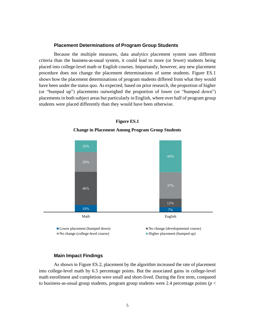#### **Placement Determinations of Program Group Students**

Because the multiple measures, data analytics placement system uses different criteria than the business-as-usual system, it could lead to more (or fewer) students being placed into college-level math or English courses. Importantly, however, any new placement procedure does not change the placement determinations of some students. Figure ES.1 shows how the placement determinations of program students differed from what they would have been under the status quo. As expected, based on prior research, the proportion of higher (or "bumped up") placements outweighed the proportion of lower (or "bumped down") placements in both subject areas but particularly in English, where over half of program group students were placed differently than they would have been otherwise.



#### **Figure ES.1**

#### **Change in Placement Among Program Group Students**

#### **Main Impact Findings**

As shown in Figure ES.2, placement by the algorithm increased the rate of placement into college-level math by 6.5 percentage points. But the associated gains in college-level math enrollment and completion were small and short-lived. During the first term, compared to business-as-usual group students, program group students were 2.4 percentage points (*p* <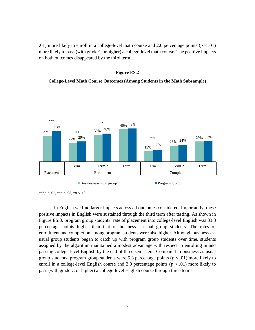.01) more likely to enroll in a college-level math course and 2.0 percentage points  $(p < .01)$ more likely to pass (with grade C or higher) a college-level math course. The positive impacts on both outcomes disappeared by the third term.

#### **Figure ES.2**

#### **College-Level Math Course Outcomes (Among Students in the Math Subsample)**



<sup>\*\*\*</sup>*p* < .01, \*\**p* < .05, \**p* < .10.

In English we find larger impacts across all outcomes considered. Importantly, these positive impacts in English were sustained through the third term after testing. As shown in Figure ES.3, program group students' rate of placement into college-level English was 33.8 percentage points higher than that of business-as-usual group students. The rates of enrollment and completion among program students were also higher. Although business-asusual group students began to catch up with program group students over time, students assigned by the algorithm maintained a modest advantage with respect to enrolling in and passing college-level English by the end of three semesters. Compared to business-as-usual group students, program group students were 5.3 percentage points  $(p < .01)$  more likely to enroll in a college-level English course and 2.9 percentage points  $(p < .01)$  more likely to pass (with grade C or higher) a college-level English course through three terms.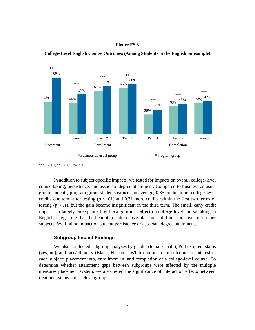



**College-Level English Course Outcomes (Among Students in the English Subsample)**

In addition to subject-specific impacts, we tested for impacts on overall college-level course taking, persistence, and associate degree attainment. Compared to business-as-usual group students, program group students earned, on average, 0.35 credits more college-level credits one term after testing  $(p < .01)$  and 0.31 more credits within the first two terms of testing  $(p < 0.1)$ , but the gain became insignificant in the third term. The small, early credit impact can largely be explained by the algorithm's effect on college-level course-taking in English, suggesting that the benefits of alternative placement did not spill over into other subjects. We find no impact on student persistence or associate degree attainment.

#### **Subgroup Impact Findings**

We also conducted subgroup analyses by gender (female, male), Pell recipient status (yes, no), and race/ethnicity (Black, Hispanic, White) on our main outcomes of interest in each subject: placement into, enrollment in, and completion of a college-level course. To determine whether attainment gaps between subgroups were affected by the multiple measures placement system, we also tested the significance of interaction effects between treatment status and each subgroup.

<sup>\*\*\*</sup>*p* < .01, \*\**p* < .05, \**p* < .10.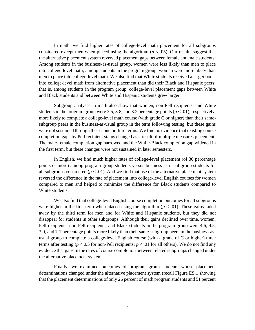In math, we find higher rates of college-level math placement for all subgroups considered except men when placed using the algorithm ( $p < .05$ ). Our results suggest that the alternative placement system reversed placement gaps between female and male students: Among students in the business-as-usual group, women were less likely than men to place into college-level math; among students in the program group, women were more likely than men to place into college-level math. We also find that White students received a larger boost into college-level math from alternative placement than did their Black and Hispanic peers; that is, among students in the program group, college-level placement gaps between White and Black students and between White and Hispanic students grew larger.

Subgroup analyses in math also show that women, non-Pell recipients, and White students in the program group were 3.5, 3.8, and 3.2 percentage points  $(p < .01)$ , respectively, more likely to complete a college-level math course (with grade C or higher) than their samesubgroup peers in the business-as-usual group in the term following testing, but these gains were not sustained through the second or third terms. We find no evidence that existing course completion gaps by Pell recipient status changed as a result of multiple measures placement. The male-female completion gap narrowed and the White-Black completion gap widened in the first term, but these changes were not sustained in later semesters.

In English, we find much higher rates of college-level placement (of 30 percentage points or more) among program group students versus business-as-usual group students for all subgroups considered  $(p < .01)$ . And we find that use of the alternative placement system reversed the difference in the rate of placement into college-level English courses for women compared to men and helped to minimize the difference for Black students compared to White students.

We also find that college-level English course completion outcomes for all subgroups were higher in the first term when placed using the algorithm  $(p < .01)$ . These gains faded away by the third term for men and for White and Hispanic students, but they did not disappear for students in other subgroups. Although their gains declined over time, women, Pell recipients, non-Pell recipients, and Black students in the program group were 4.6, 4.5, 3.0, and 7.1 percentage points more likely than their same-subgroup peers in the business-asusual group to complete a college-level English course (with a grade of C or higher) three terms after testing ( $p < .05$  for non-Pell recipients;  $p < .01$  for all others). We do not find any evidence that gaps in the rates of course completion between related subgroups changed under the alternative placement system.

Finally, we examined outcomes of program group students whose placement determinations changed under the alternative placement system (recall Figure ES.1 showing that the placement determinations of only 26 percent of math program students and 51 percent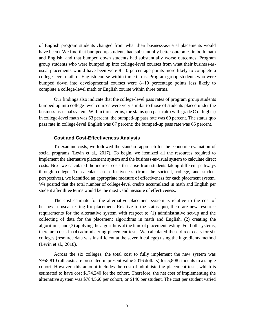of English program students changed from what their business-as-usual placements would have been). We find that bumped up students had substantially better outcomes in both math and English, and that bumped down students had substantially worse outcomes. Program group students who were bumped up into college-level courses from what their business-asusual placements would have been were 8–10 percentage points more likely to complete a college-level math or English course within three terms. Program group students who were bumped down into developmental courses were 8–10 percentage points less likely to complete a college-level math or English course within three terms.

Our findings also indicate that the college-level pass rates of program group students bumped up into college-level courses were very similar to those of students placed under the business-as-usual system. Within three terms, the status quo pass rate (with grade C or higher) in college-level math was 63 percent; the bumped-up pass rate was 60 percent. The status quo pass rate in college-level English was 67 percent; the bumped-up pass rate was 65 percent.

#### **Cost and Cost-Effectiveness Analysis**

To examine costs, we followed the standard approach for the economic evaluation of social programs (Levin et al., 2017). To begin, we itemized all the resources required to implement the alternative placement system and the business-as-usual system to calculate direct costs. Next we calculated the indirect costs that arise from students taking different pathways through college. To calculate cost-effectiveness (from the societal, college, and student perspectives), we identified an appropriate measure of effectiveness for each placement system. We posited that the total number of college-level credits accumulated in math and English per student after three terms would be the most valid measure of effectiveness.

The cost estimate for the alternative placement system is relative to the cost of business-as-usual testing for placement. Relative to the status quo, there are new resource requirements for the alternative system with respect to (1) administrative set-up and the collecting of data for the placement algorithms in math and English, (2) creating the algorithms, and (3) applying the algorithms at the time of placement testing. For both systems, there are costs in (4) administering placement tests. We calculated these direct costs for six colleges (resource data was insufficient at the seventh college) using the ingredients method (Levin et al., 2018).

Across the six colleges, the total cost to fully implement the new system was \$958,810 (all costs are presented in present value 2016 dollars) for 5,808 students in a single cohort. However, this amount includes the cost of administering placement tests, which is estimated to have cost \$174,240 for the cohort. Therefore, the net cost of implementing the alternative system was \$784,560 per cohort, or \$140 per student. The cost per student varied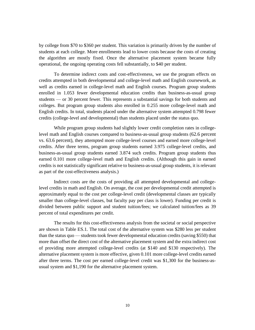by college from \$70 to \$360 per student. This variation is primarily driven by the number of students at each college. More enrollments lead to lower costs because the costs of creating the algorithm are mostly fixed. Once the alternative placement system became fully operational, the ongoing operating costs fell substantially, to \$40 per student.

To determine indirect costs and cost-effectiveness, we use the program effects on credits attempted in both developmental and college-level math and English coursework, as well as credits earned in college-level math and English courses. Program group students enrolled in 1.053 fewer developmental education credits than business-as-usual group students — or 30 percent fewer. This represents a substantial savings for both students and colleges. But program group students also enrolled in 0.255 more college-level math and English credits. In total, students placed under the alternative system attempted 0.798 fewer credits (college-level and developmental) than students placed under the status quo.

While program group students had slightly lower credit completion rates in collegelevel math and English courses compared to business-as-usual group students (62.6 percent vs. 63.6 percent), they attempted more college-level courses and earned more college-level credits. After three terms, program group students earned 3.975 college-level credits, and business-as-usual group students earned 3.874 such credits. Program group students thus earned 0.101 more college-level math and English credits. (Although this gain in earned credits is not statistically significant relative to business-as-usual group students, it is relevant as part of the cost-effectiveness analysis.)

Indirect costs are the costs of providing all attempted developmental and collegelevel credits in math and English. On average, the cost per developmental credit attempted is approximately equal to the cost per college-level credit (developmental classes are typically smaller than college-level classes, but faculty pay per class is lower). Funding per credit is divided between public support and student tuition/fees; we calculated tuition/fees as 39 percent of total expenditures per credit.

The results for this cost-effectiveness analysis from the societal or social perspective are shown in Table ES.1. The total cost of the alternative system was \$280 less per student than the status quo — students took fewer developmental education credits (saving \$550) that more than offset the direct cost of the alternative placement system and the extra indirect cost of providing more attempted college-level credits (at \$140 and \$130 respectively). The alternative placement system is more effective, given 0.101 more college-level credits earned after three terms. The cost per earned college-level credit was \$1,300 for the business-asusual system and \$1,190 for the alternative placement system.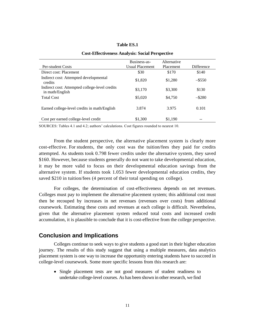#### **Table ES.1**

|                                                                   | Business-as-    | Alternative |                   |
|-------------------------------------------------------------------|-----------------|-------------|-------------------|
| Per-student Costs                                                 | Usual Placement | Placement   | <b>Difference</b> |
| Direct cost: Placement                                            | \$30            | \$170       | \$140             |
| Indirect cost: Attempted developmental<br>credits                 | \$1,820         | \$1,280     | $-$ \$550         |
| Indirect cost: Attempted college-level credits<br>in math/English | \$3,170         | \$3,300     | \$130             |
| <b>Total Cost</b>                                                 | \$5,020         | \$4,750     | $-$ \$280         |
| Earned college-level credits in math/English                      | 3.874           | 3.975       | 0.101             |
| Cost per earned college-level credit                              | \$1,300         | \$1.190     |                   |

#### **Cost-Effectiveness Analysis: Social Perspective**

SOURCES: Tables 4.1 and 4.2; authors' calculations. Cost figures rounded to nearest 10.

From the student perspective, the alternative placement system is clearly more cost-effective. For students, the only cost was the tuition/fees they paid for credits attempted. As students took 0.798 fewer credits under the alternative system, they saved \$160. However, because students generally do not want to take developmental education, it may be more valid to focus on their developmental education savings from the alternative system. If students took 1.053 fewer developmental education credits, they saved \$210 in tuition/fees (4 percent of their total spending on college).

For colleges, the determination of cost-effectiveness depends on net revenues. Colleges must pay to implement the alternative placement system; this additional cost must then be recouped by increases in net revenues (revenues over costs) from additional coursework. Estimating these costs and revenues at each college is difficult. Nevertheless, given that the alternative placement system reduced total costs and increased credit accumulation, it is plausible to conclude that it is cost-effective from the college perspective.

## **Conclusion and Implications**

Colleges continue to seek ways to give students a good start in their higher education journey. The results of this study suggest that using a multiple measures, data analytics placement system is one way to increase the opportunity entering students have to succeed in college-level coursework. Some more specific lessons from this research are:

• Single placement tests are not good measures of student readiness to undertake college-level courses. As has been shown in other research, we find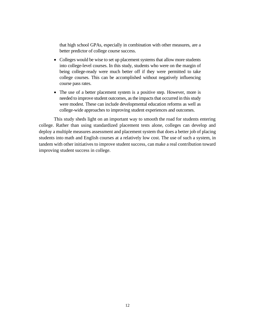that high school GPAs, especially in combination with other measures, are a better predictor of college course success.

- Colleges would be wise to set up placement systems that allow more students into college-level courses. In this study, students who were on the margin of being college-ready were much better off if they were permitted to take college courses. This can be accomplished without negatively influencing course pass rates.
- The use of a better placement system is a positive step. However, more is needed to improve student outcomes, as the impacts that occurred in this study were modest. These can include developmental education reforms as well as college-wide approaches to improving student experiences and outcomes.

This study sheds light on an important way to smooth the road for students entering college. Rather than using standardized placement tests alone, colleges can develop and deploy a multiple measures assessment and placement system that does a better job of placing students into math and English courses at a relatively low cost. The use of such a system, in tandem with other initiatives to improve student success, can make a real contribution toward improving student success in college.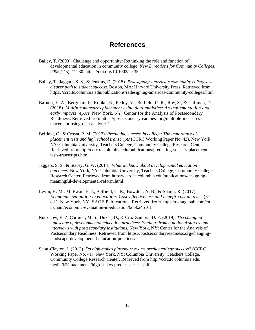## **References**

- Bailey, T. (2009). Challenge and opportunity: Rethinking the role and function of developmental education in community college. *New Directions for Community Colleges*, *2009*(145), 11–30.<https://doi.org/10.1002/cc.352>
- Bailey, T., Jaggars, S. S., & Jenkins, D. (2015). *Redesigning America's community colleges: A clearer path to student success*. Boston, MA: Harvard University Press. Retrieved from <https://ccrc.tc.columbia.edu/publications/redesigning-americas-community-colleges.html>
- Barnett, E. A., Bergman, P., Kopko, E., Reddy, V., Belfield, C. R., Roy, S., & Cullinan, D. (2018). *Multiple measures placement using data analytics: An implementation and early impacts report.* New York, NY: Center for the Analysis of Postsecondary Readiness. Retrieved from [https://postsecondaryreadiness.org/multiple-measures](https://postsecondaryreadiness.org/multiple-measures-placement-using-data-analytics/)[placement-using-data-analytics/](https://postsecondaryreadiness.org/multiple-measures-placement-using-data-analytics/)
- Belfield, C., & Crosta, P. M. (2012). *Predicting success in college: The importance of placement tests and high school transcripts* (CCRC Working Paper No. 42). New York, NY: Columbia University, Teachers College, Community College Research Center. Retrieved from [http://ccrc.tc.columbia.edu/publications/predicting-success-placement](http://ccrc.tc.columbia.edu/publications/predicting-success-placement-tests-transcripts.html)[tests-transcripts.html](http://ccrc.tc.columbia.edu/publications/predicting-success-placement-tests-transcripts.html)
- Jaggars, S. S., & Stacey, G. W. (2014). *What we know about developmental education outcomes*. New York, NY: Columbia University, Teachers College, Community College Research Center. Retrieved from https://ccrc.tc.columbia.edu/publications/designingmeaningful-developmental-reform.html
- Levin, H. M., McEwan, P. J., Belfield, C. R., Bowden, A. B., & Shand, R. (2017). *Economic evaluation in education: Cost-effectiveness and benefit-cost analysis* (3<sup>rd</sup>) ed.). New York, NY: SAGE Publications. Retrieved from [https://us.sagepub.com/en](https://us.sagepub.com/en-us/nam/economic-evaluation-in-education/book245161)[us/nam/economic-evaluation-in-education/book245161](https://us.sagepub.com/en-us/nam/economic-evaluation-in-education/book245161)
- Rutschow, E. Z, Cormier, M. S., Dukes, D., & Cruz Zamora, D. E. (2019). *The changing landscape of developmental education practices: Findings from a national survey and interviews with postsecondary institutions.* New York, NY: Center for the Analysis of Postsecondary Readiness. Retrieved from [https://postsecondaryreadiness.org/changing](https://postsecondaryreadiness.org/changing-landscape-developmental-education-practices/)[landscape-developmental-education-practices/](https://postsecondaryreadiness.org/changing-landscape-developmental-education-practices/)
- Scott-Clayton, J. (2012). *Do high-stakes placement exams predict college success?* (CCRC Working Paper No. 41). New York, NY: Columbia University, Teachers College, Community College Research Center. Retrieved fro[m http://ccrc.tc.columbia.edu/](http://ccrc.tc.columbia.edu/%20media/k2/attachments/high-stakes-predict-success.pdf)  [media/k2/attachments/high-stakes-predict-success.pdf](http://ccrc.tc.columbia.edu/%20media/k2/attachments/high-stakes-predict-success.pdf)